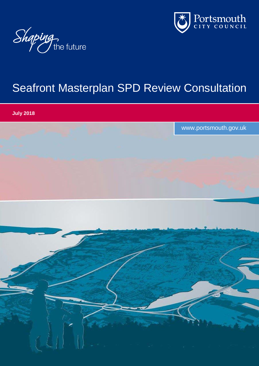



# Seafront Masterplan SPD Review Consultation

**July 2018**

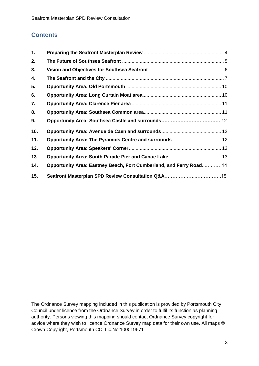# **Contents**

| 1.  |                                                                    |  |
|-----|--------------------------------------------------------------------|--|
| 2.  |                                                                    |  |
| 3.  |                                                                    |  |
| 4.  |                                                                    |  |
| 5.  |                                                                    |  |
| 6.  |                                                                    |  |
| 7.  |                                                                    |  |
| 8.  |                                                                    |  |
| 9.  |                                                                    |  |
| 10. |                                                                    |  |
| 11. |                                                                    |  |
| 12. |                                                                    |  |
| 13. |                                                                    |  |
| 14. | Opportunity Area: Eastney Beach, Fort Cumberland, and Ferry Road14 |  |
| 15. |                                                                    |  |

The Ordnance Survey mapping included in this publication is provided by Portsmouth City Council under licence from the Ordnance Survey in order to fulfil its function as planning authority. Persons viewing this mapping should contact Ordnance Survey copyright for advice where they wish to licence Ordnance Survey map data for their own use. All maps © Crown Copyright, Portsmouth CC, Lic.No:100019671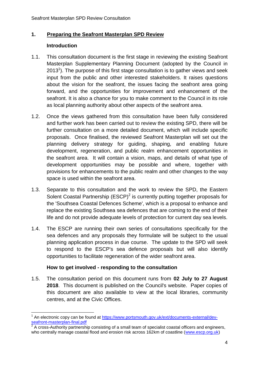# <span id="page-3-0"></span>**1. Preparing the Seafront Masterplan SPD Review**

#### **Introduction**

-

- 1.1. This consultation document is the first stage in reviewing the existing Seafront Masterplan Supplementary Planning Document (adopted by the Council in 2013<sup>1</sup>). The purpose of this first stage consultation is to gather views and seek input from the public and other interested stakeholders. It raises questions about the vision for the seafront, the issues facing the seafront area going forward, and the opportunities for improvement and enhancement of the seafront. It is also a chance for you to make comment to the Council in its role as local planning authority about other aspects of the seafront area.
- 1.2. Once the views gathered from this consultation have been fully considered and further work has been carried out to review the existing SPD, there will be further consultation on a more detailed document, which will include specific proposals. Once finalised, the reviewed Seafront Masterplan will set out the planning delivery strategy for guiding, shaping, and enabling future development, regeneration, and public realm enhancement opportunities in the seafront area. It will contain a vision, maps, and details of what type of development opportunities may be possible and where, together with provisions for enhancements to the public realm and other changes to the way space is used within the seafront area.
- 1.3. Separate to this consultation and the work to review the SPD, the Eastern Solent Coastal Partnership  $(ESCP)^2$  is currently putting together proposals for the 'Southsea Coastal Defences Scheme', which is a proposal to enhance and replace the existing Southsea sea defences that are coming to the end of their life and do not provide adequate levels of protection for current day sea levels.
- 1.4. The ESCP are running their own series of consultations specifically for the sea defences and any proposals they formulate will be subject to the usual planning application process in due course. The update to the SPD will seek to respond to the ESCP's sea defence proposals but will also identify opportunities to facilitate regeneration of the wider seafront area.

#### **How to get involved - responding to the consultation**

1.5. The consultation period on this document runs from **02 July to 27 August 2018**. This document is published on the Council's website. Paper copies of this document are also available to view at the local libraries, community centres, and at the Civic Offices.

<sup>1</sup> An electronic copy can be found at [https://www.portsmouth.gov.uk/ext/documents-external/dev](https://www.portsmouth.gov.uk/ext/documents-external/dev-seafront-masterplan-final.pdf)[seafront-masterplan-final.pdf](https://www.portsmouth.gov.uk/ext/documents-external/dev-seafront-masterplan-final.pdf)

<sup>2</sup> A cross-Authority partnership consisting of a small team of specialist coastal officers and engineers, who centrally manage coastal flood and erosion risk across 162km of coastline [\(www.escp.org.uk\)](http://www.escp.org.uk/)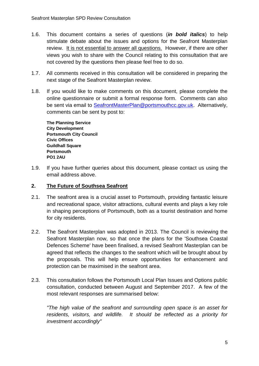- 1.6. This document contains a series of questions (*in bold italics*) to help stimulate debate about the issues and options for the Seafront Masterplan review. It is not essential to answer all questions. However, if there are other views you wish to share with the Council relating to this consultation that are not covered by the questions then please feel free to do so.
- 1.7. All comments received in this consultation will be considered in preparing the next stage of the Seafront Masterplan review.
- 1.8. If you would like to make comments on this document, please complete the online questionnaire or submit a formal response form. Comments can also be sent via email to [SeafrontMasterPlan@portsmouthcc.gov.uk.](mailto:SeafrontMasterPlan@portsmouthcc.gov.uk) Alternatively, comments can be sent by post to:

**The Planning Service City Development Portsmouth City Council Civic Offices Guildhall Square Portsmouth PO1 2AU**

1.9. If you have further queries about this document, please contact us using the email address above.

#### <span id="page-4-0"></span>**2. The Future of Southsea Seafront**

- 2.1. The seafront area is a crucial asset to Portsmouth, providing fantastic leisure and recreational space, visitor attractions, cultural events and plays a key role in shaping perceptions of Portsmouth, both as a tourist destination and home for city residents.
- 2.2. The Seafront Masterplan was adopted in 2013. The Council is reviewing the Seafront Masterplan now, so that once the plans for the 'Southsea Coastal Defences Scheme' have been finalised, a revised Seafront Masterplan can be agreed that reflects the changes to the seafront which will be brought about by the proposals. This will help ensure opportunities for enhancement and protection can be maximised in the seafront area.
- 2.3. This consultation follows the Portsmouth Local Plan Issues and Options public consultation, conducted between August and September 2017. A few of the most relevant responses are summarised below:

*"The high value of the seafront and surrounding open space is an asset for residents, visitors, and wildlife. It should be reflected as a priority for investment accordingly"*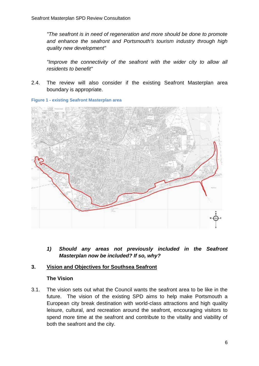*"The seafront is in need of regeneration and more should be done to promote and enhance the seafront and Portsmouth's tourism industry through high quality new development"*

"Improve the connectivity of the seafront with the wider city to allow all *residents to benefit"*

2.4. The review will also consider if the existing Seafront Masterplan area boundary is appropriate.





*1) Should any areas not previously included in the Seafront Masterplan now be included? If so, why?*

#### <span id="page-5-0"></span>**3. Vision and Objectives for Southsea Seafront**

#### **The Vision**

3.1. The vision sets out what the Council wants the seafront area to be like in the future. The vision of the existing SPD aims to help make Portsmouth a European city break destination with world-class attractions and high quality leisure, cultural, and recreation around the seafront, encouraging visitors to spend more time at the seafront and contribute to the vitality and viability of both the seafront and the city.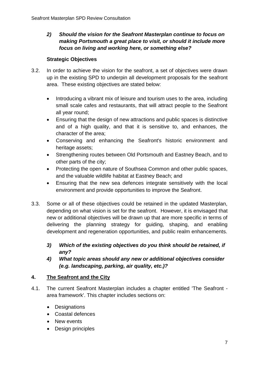# *2) Should the vision for the Seafront Masterplan continue to focus on making Portsmouth a great place to visit, or should it include more focus on living and working here, or something else?*

# **Strategic Objectives**

- 3.2. In order to achieve the vision for the seafront, a set of objectives were drawn up in the existing SPD to underpin all development proposals for the seafront area. These existing objectives are stated below:
	- Introducing a vibrant mix of leisure and tourism uses to the area, including small scale cafes and restaurants, that will attract people to the Seafront all year round;
	- Ensuring that the design of new attractions and public spaces is distinctive and of a high quality, and that it is sensitive to, and enhances, the character of the area;
	- Conserving and enhancing the Seafront's historic environment and heritage assets;
	- Strengthening routes between Old Portsmouth and Eastney Beach, and to other parts of the city;
	- Protecting the open nature of Southsea Common and other public spaces, and the valuable wildlife habitat at Eastney Beach; and
	- Ensuring that the new sea defences integrate sensitively with the local environment and provide opportunities to improve the Seafront.
- 3.3. Some or all of these objectives could be retained in the updated Masterplan, depending on what vision is set for the seafront. However, it is envisaged that new or additional objectives will be drawn up that are more specific in terms of delivering the planning strategy for guiding, shaping, and enabling development and regeneration opportunities, and public realm enhancements.
	- *3) Which of the existing objectives do you think should be retained, if any?*
	- *4) What topic areas should any new or additional objectives consider (e.g. landscaping, parking, air quality, etc.)?*

# <span id="page-6-0"></span>**4. The Seafront and the City**

- 4.1. The current Seafront Masterplan includes a chapter entitled 'The Seafront area framework'. This chapter includes sections on:
	- Designations
	- Coastal defences
	- New events
	- Design principles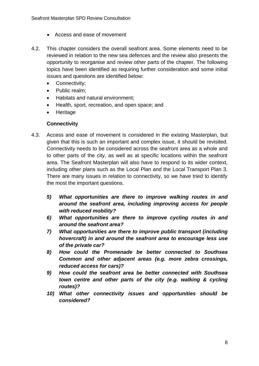- Access and ease of movement
- 4.2. This chapter considers the overall seafront area. Some elements need to be reviewed in relation to the new sea defences and the review also presents the opportunity to reorganise and review other parts of the chapter. The following topics have been identified as requiring further consideration and some initial issues and questions are identified below:
	- Connectivity;
	- Public realm;
	- Habitats and natural environment;
	- Health, sport, recreation, and open space; and
	- Heritage

#### **Connectivity**

- 4.3. Access and ease of movement is considered in the existing Masterplan, but given that this is such an important and complex issue, it should be revisited. Connectivity needs to be considered across the seafront area as a whole and to other parts of the city, as well as at specific locations within the seafront area. The Seafront Masterplan will also have to respond to its wider context, including other plans such as the Local Plan and the Local Transport Plan 3. There are many issues in relation to connectivity, so we have tried to identify the most the important questions.
	- *5) What opportunities are there to improve walking routes in and around the seafront area, including improving access for people with reduced mobility?*
	- *6) What opportunities are there to improve cycling routes in and around the seafront area?*
	- *7) What opportunities are there to improve public transport (including hovercraft) in and around the seafront area to encourage less use of the private car?*
	- *8) How could the Promenade be better connected to Southsea Common and other adjacent areas (e.g. more zebra crossings, reduced access for cars)?*
	- *9) How could the seafront area be better connected with Southsea town centre and other parts of the city (e.g. walking & cycling routes)?*
	- *10) What other connectivity issues and opportunities should be considered?*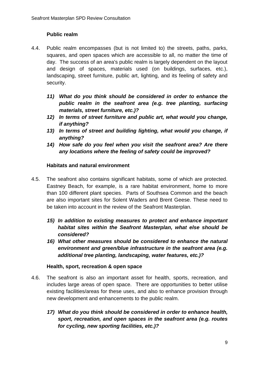# **Public realm**

- 4.4. Public realm encompasses (but is not limited to) the streets, paths, parks, squares, and open spaces which are accessible to all, no matter the time of day. The success of an area's public realm is largely dependent on the layout and design of spaces, materials used (on buildings, surfaces, etc.), landscaping, street furniture, public art, lighting, and its feeling of safety and security.
	- *11) What do you think should be considered in order to enhance the public realm in the seafront area (e.g. tree planting, surfacing materials, street furniture, etc.)?*
	- *12) In terms of street furniture and public art, what would you change, if anything?*
	- *13) In terms of street and building lighting, what would you change, if anything?*
	- *14) How safe do you feel when you visit the seafront area? Are there any locations where the feeling of safety could be improved?*

#### **Habitats and natural environment**

- 4.5. The seafront also contains significant habitats, some of which are protected. Eastney Beach, for example, is a rare habitat environment, home to more than 100 different plant species. Parts of Southsea Common and the beach are also important sites for Solent Waders and Brent Geese. These need to be taken into account in the review of the Seafront Masterplan.
	- *15) In addition to existing measures to protect and enhance important habitat sites within the Seafront Masterplan, what else should be considered?*
	- *16) What other measures should be considered to enhance the natural environment and green/blue infrastructure in the seafront area (e.g. additional tree planting, landscaping, water features, etc.)?*

#### **Health, sport, recreation & open space**

- 4.6. The seafront is also an important asset for health, sports, recreation, and includes large areas of open space. There are opportunities to better utilise existing facilities/areas for these uses, and also to enhance provision through new development and enhancements to the public realm.
	- *17) What do you think should be considered in order to enhance health, sport, recreation, and open spaces in the seafront area (e.g. routes for cycling, new sporting facilities, etc.)?*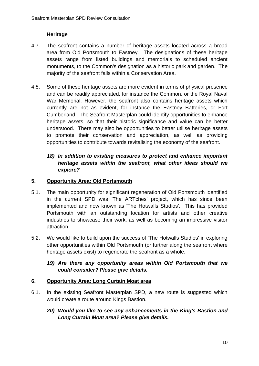# **Heritage**

- 4.7. The seafront contains a number of heritage assets located across a broad area from Old Portsmouth to Eastney. The designations of these heritage assets range from listed buildings and memorials to scheduled ancient monuments, to the Common's designation as a historic park and garden. The majority of the seafront falls within a Conservation Area.
- 4.8. Some of these heritage assets are more evident in terms of physical presence and can be readily appreciated, for instance the Common, or the Royal Naval War Memorial. However, the seafront also contains heritage assets which currently are not as evident, for instance the Eastney Batteries, or Fort Cumberland. The Seafront Masterplan could identify opportunities to enhance heritage assets, so that their historic significance and value can be better understood. There may also be opportunities to better utilise heritage assets to promote their conservation and appreciation, as well as providing opportunities to contribute towards revitalising the economy of the seafront.

# *18) In addition to existing measures to protect and enhance important heritage assets within the seafront, what other ideas should we explore?*

#### <span id="page-9-0"></span>**5. Opportunity Area: Old Portsmouth**

- 5.1. The main opportunity for significant regeneration of Old Portsmouth identified in the current SPD was 'The ARTches' project, which has since been implemented and now known as 'The Hotwalls Studios'. This has provided Portsmouth with an outstanding location for artists and other creative industries to showcase their work, as well as becoming an impressive visitor attraction.
- 5.2. We would like to build upon the success of 'The Hotwalls Studios' in exploring other opportunities within Old Portsmouth (or further along the seafront where heritage assets exist) to regenerate the seafront as a whole.

# *19) Are there any opportunity areas within Old Portsmouth that we could consider? Please give details.*

#### <span id="page-9-1"></span>**6. Opportunity Area: Long Curtain Moat area**

- <span id="page-9-2"></span>6.1. In the existing Seafront Masterplan SPD, a new route is suggested which would create a route around Kings Bastion.
	- *20) Would you like to see any enhancements in the King's Bastion and Long Curtain Moat area? Please give details.*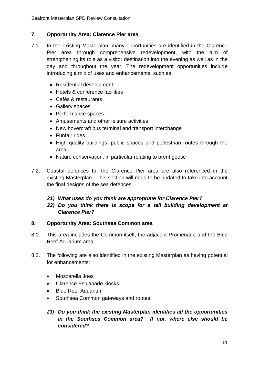#### **7. Opportunity Area: Clarence Pier area**

- 7.1. In the existing Masterplan, many opportunities are identified in the Clarence Pier area through comprehensive redevelopment, with the aim of strengthening its role as a visitor destination into the evening as well as in the day and throughout the year. The redevelopment opportunities include introducing a mix of uses and enhancements, such as:
	- Residential development
	- Hotels & conference facilities
	- Cafés & restaurants
	- Gallery spaces
	- Performance spaces
	- Amusements and other leisure activities
	- New hovercraft bus terminal and transport interchange
	- Funfair rides
	- High quality buildings, public spaces and pedestrian routes through the area
	- Nature conservation, in particular relating to brent geese
- 7.2. Coastal defences for the Clarence Pier area are also referenced in the existing Masterplan. This section will need to be updated to take into account the final designs of the sea defences.

#### *21) What uses do you think are appropriate for Clarence Pier?*

# *22) Do you think there is scope for a tall building development at Clarence Pier?*

#### <span id="page-10-0"></span>**8. Opportunity Area: Southsea Common area**

- 8.1. This area includes the Common itself, the adjacent Promenade and the Blue Reef Aquarium area.
- 8.2. The following are also identified in the existing Masterplan as having potential for enhancements:
	- Mozzarella Joes
	- Clarence Esplanade kiosks
	- Blue Reef Aquarium
	- Southsea Common gateways and routes
	- *23) Do you think the existing Masterplan identifies all the opportunities in the Southsea Common area? If not, where else should be considered?*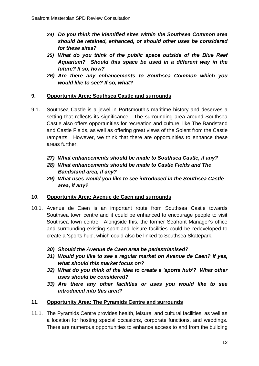- *24) Do you think the identified sites within the Southsea Common area should be retained, enhanced, or should other uses be considered for these sites?*
- *25) What do you think of the public space outside of the Blue Reef Aquarium? Should this space be used in a different way in the future? If so, how?*
- *26) Are there any enhancements to Southsea Common which you would like to see? If so, what?*

#### **9. Opportunity Area: Southsea Castle and surrounds**

- 9.1. Southsea Castle is a jewel in Portsmouth's maritime history and deserves a setting that reflects its significance. The surrounding area around Southsea Castle also offers opportunities for recreation and culture, like The Bandstand and Castle Fields, as well as offering great views of the Solent from the Castle ramparts. However, we think that there are opportunities to enhance these areas further.
	- *27) What enhancements should be made to Southsea Castle, if any?*
	- *28) What enhancements should be made to Castle Fields and The Bandstand area, if any?*
	- *29) What uses would you like to see introduced in the Southsea Castle area, if any?*

#### <span id="page-11-0"></span>**10. Opportunity Area: Avenue de Caen and surrounds**

- 10.1. Avenue de Caen is an important route from Southsea Castle towards Southsea town centre and it could be enhanced to encourage people to visit Southsea town centre. Alongside this, the former Seafront Manager's office and surrounding existing sport and leisure facilities could be redeveloped to create a 'sports hub', which could also be linked to Southsea Skatepark.
	- *30) Should the Avenue de Caen area be pedestrianised?*
	- *31) Would you like to see a regular market on Avenue de Caen? If yes, what should this market focus on?*
	- *32) What do you think of the idea to create a 'sports hub'? What other uses should be considered?*
	- *33) Are there any other facilities or uses you would like to see introduced into this area?*

#### <span id="page-11-1"></span>**11. Opportunity Area: The Pyramids Centre and surrounds**

11.1. The Pyramids Centre provides health, leisure, and cultural facilities, as well as a location for hosting special occasions, corporate functions, and weddings. There are numerous opportunities to enhance access to and from the building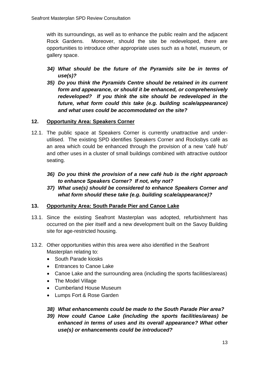with its surroundings, as well as to enhance the public realm and the adjacent Rock Gardens. Moreover, should the site be redeveloped, there are opportunities to introduce other appropriate uses such as a hotel, museum, or gallery space.

- *34) What should be the future of the Pyramids site be in terms of use(s)?*
- *35) Do you think the Pyramids Centre should be retained in its current form and appearance, or should it be enhanced, or comprehensively redeveloped? If you think the site should be redeveloped in the future, what form could this take (e.g. building scale/appearance) and what uses could be accommodated on the site?*

# <span id="page-12-0"></span>**12. Opportunity Area: Speakers Corner**

- 12.1. The public space at Speakers Corner is currently unattractive and underutilised. The existing SPD identifies Speakers Corner and Rocksbys café as an area which could be enhanced through the provision of a new 'café hub' and other uses in a cluster of small buildings combined with attractive outdoor seating.
	- *36) Do you think the provision of a new café hub is the right approach to enhance Speakers Corner? If not, why not?*
	- *37) What use(s) should be considered to enhance Speakers Corner and what form should these take (e.g. building scale/appearance)?*

# <span id="page-12-1"></span>**13. Opportunity Area: South Parade Pier and Canoe Lake**

- 13.1. Since the existing Seafront Masterplan was adopted, refurbishment has occurred on the pier itself and a new development built on the Savoy Building site for age-restricted housing.
- 13.2. Other opportunities within this area were also identified in the Seafront Masterplan relating to:
	- South Parade kiosks
	- Entrances to Canoe Lake
	- Canoe Lake and the surrounding area (including the sports facilities/areas)
	- The Model Village
	- Cumberland House Museum
	- Lumps Fort & Rose Garden

# *38) What enhancements could be made to the South Parade Pier area?*

*39) How could Canoe Lake (including the sports facilities/areas) be enhanced in terms of uses and its overall appearance? What other use(s) or enhancements could be introduced?*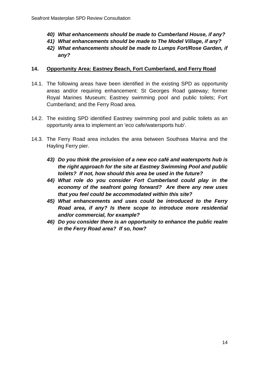- *40) What enhancements should be made to Cumberland House, if any?*
- *41) What enhancements should be made to The Model Village, if any?*
- *42) What enhancements should be made to Lumps Fort/Rose Garden, if any?*

#### **14. Opportunity Area: Eastney Beach, Fort Cumberland, and Ferry Road**

- 14.1. The following areas have been identified in the existing SPD as opportunity areas and/or requiring enhancement: St Georges Road gateway; former Royal Marines Museum; Eastney swimming pool and public toilets; Fort Cumberland; and the Ferry Road area.
- 14.2. The existing SPD identified Eastney swimming pool and public toilets as an opportunity area to implement an 'eco cafe/watersports hub'.
- 14.3. The Ferry Road area includes the area between Southsea Marina and the Hayling Ferry pier.
	- *43) Do you think the provision of a new eco café and watersports hub is the right approach for the site at Eastney Swimming Pool and public toilets? If not, how should this area be used in the future?*
	- *44) What role do you consider Fort Cumberland could play in the economy of the seafront going forward? Are there any new uses that you feel could be accommodated within this site?*
	- *45) What enhancements and uses could be introduced to the Ferry Road area, if any? Is there scope to introduce more residential and/or commercial, for example?*
	- *46) Do you consider there is an opportunity to enhance the public realm in the Ferry Road area? If so, how?*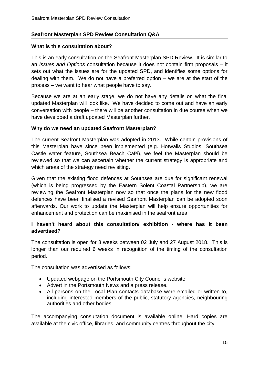#### **Seafront Masterplan SPD Review Consultation Q&A**

#### **What is this consultation about?**

This is an early consultation on the Seafront Masterplan SPD Review. It is similar to an *Issues and Options* consultation because it does not contain firm proposals – it sets out what the issues are for the updated SPD, and identifies some options for dealing with them. We do not have a preferred option – we are at the start of the process – we want to hear what people have to say.

Because we are at an early stage, we do not have any details on what the final updated Masterplan will look like. We have decided to come out and have an early conversation with people – there will be another consultation in due course when we have developed a draft updated Masterplan further.

#### **Why do we need an updated Seafront Masterplan?**

The current Seafront Masterplan was adopted in 2013. While certain provisions of this Masterplan have since been implemented (e.g. Hotwalls Studios, Southsea Castle water feature, Southsea Beach Café), we feel the Masterplan should be reviewed so that we can ascertain whether the current strategy is appropriate and which areas of the strategy need revisiting.

Given that the existing flood defences at Southsea are due for significant renewal (which is being progressed by the Eastern Solent Coastal Partnership), we are reviewing the Seafront Masterplan now so that once the plans for the new flood defences have been finalised a revised Seafront Masterplan can be adopted soon afterwards. Our work to update the Masterplan will help ensure opportunities for enhancement and protection can be maximised in the seafront area.

#### **I haven't heard about this consultation/ exhibition - where has it been advertised?**

The consultation is open for 8 weeks between 02 July and 27 August 2018. This is longer than our required 6 weeks in recognition of the timing of the consultation period.

The consultation was advertised as follows:

- Updated webpage on the Portsmouth City Council's website
- Advert in the Portsmouth News and a press release.
- All persons on the Local Plan contacts database were emailed or written to, including interested members of the public, statutory agencies, neighbouring authorities and other bodies.

The accompanying consultation document is available online. Hard copies are available at the civic office, libraries, and community centres throughout the city.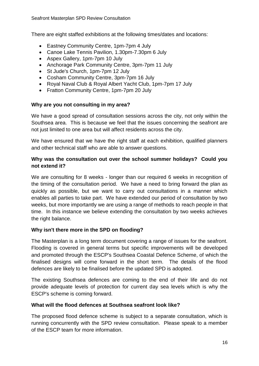There are eight staffed exhibitions at the following times/dates and locations:

- Eastney Community Centre, 1pm-7pm 4 July
- Canoe Lake Tennis Pavilion, 1.30pm-7.30pm 6 July
- Aspex Gallery, 1pm-7pm 10 July
- Anchorage Park Community Centre, 3pm-7pm 11 July
- St Jude's Church, 1pm-7pm 12 July
- Cosham Community Centre, 3pm-7pm 16 July
- Royal Naval Club & Royal Albert Yacht Club, 1pm-7pm 17 July
- Fratton Community Centre, 1pm-7pm 20 July

#### **Why are you not consulting in my area?**

We have a good spread of consultation sessions across the city, not only within the Southsea area. This is because we feel that the issues concerning the seafront are not just limited to one area but will affect residents across the city.

We have ensured that we have the right staff at each exhibition, qualified planners and other technical staff who are able to answer questions.

#### **Why was the consultation out over the school summer holidays? Could you not extend it?**

We are consulting for 8 weeks - longer than our required 6 weeks in recognition of the timing of the consultation period. We have a need to bring forward the plan as quickly as possible, but we want to carry out consultations in a manner which enables all parties to take part. We have extended our period of consultation by two weeks, but more importantly we are using a range of methods to reach people in that time. In this instance we believe extending the consultation by two weeks achieves the right balance.

#### **Why isn't there more in the SPD on flooding?**

The Masterplan is a long term document covering a range of issues for the seafront. Flooding is covered in general terms but specific improvements will be developed and promoted through the ESCP's Southsea Coastal Defence Scheme, of which the finalised designs will come forward in the short term. The details of the flood defences are likely to be finalised before the updated SPD is adopted.

The existing Southsea defences are coming to the end of their life and do not provide adequate levels of protection for current day sea levels which is why the ESCP's scheme is coming forward.

#### **What will the flood defences at Southsea seafront look like?**

The proposed flood defence scheme is subject to a separate consultation, which is running concurrently with the SPD review consultation. Please speak to a member of the ESCP team for more information.